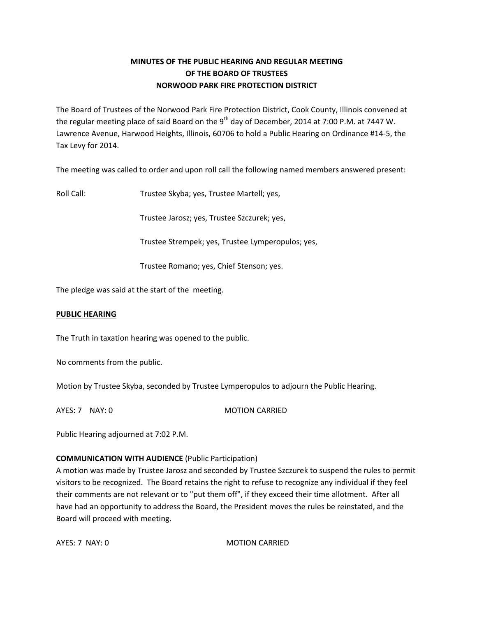# **MINUTES OF THE PUBLIC HEARING AND REGULAR MEETING OF THE BOARD OF TRUSTEES NORWOOD PARK FIRE PROTECTION DISTRICT**

The Board of Trustees of the Norwood Park Fire Protection District, Cook County, Illinois convened at the regular meeting place of said Board on the 9<sup>th</sup> day of December, 2014 at 7:00 P.M. at 7447 W. Lawrence Avenue, Harwood Heights, Illinois, 60706 to hold a Public Hearing on Ordinance #14‐5, the Tax Levy for 2014.

The meeting was called to order and upon roll call the following named members answered present:

Roll Call: Trustee Skyba; yes, Trustee Martell; yes,

Trustee Jarosz; yes, Trustee Szczurek; yes,

Trustee Strempek; yes, Trustee Lymperopulos; yes,

Trustee Romano; yes, Chief Stenson; yes.

The pledge was said at the start of the meeting.

#### **PUBLIC HEARING**

The Truth in taxation hearing was opened to the public.

No comments from the public.

Motion by Trustee Skyba, seconded by Trustee Lymperopulos to adjourn the Public Hearing.

AYES: 7 NAY: 0 MOTION CARRIED

Public Hearing adjourned at 7:02 P.M.

# **COMMUNICATION WITH AUDIENCE** (Public Participation)

A motion was made by Trustee Jarosz and seconded by Trustee Szczurek to suspend the rules to permit visitors to be recognized. The Board retains the right to refuse to recognize any individual if they feel their comments are not relevant or to "put them off", if they exceed their time allotment. After all have had an opportunity to address the Board, the President moves the rules be reinstated, and the Board will proceed with meeting.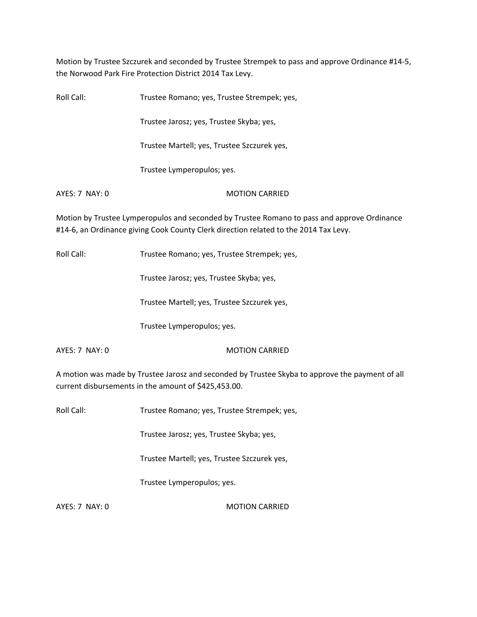Motion by Trustee Szczurek and seconded by Trustee Strempek to pass and approve Ordinance #14‐5, the Norwood Park Fire Protection District 2014 Tax Levy.

| Roll Call:                                                                                                                                                                          | Trustee Romano; yes, Trustee Strempek; yes, |  |
|-------------------------------------------------------------------------------------------------------------------------------------------------------------------------------------|---------------------------------------------|--|
|                                                                                                                                                                                     | Trustee Jarosz; yes, Trustee Skyba; yes,    |  |
|                                                                                                                                                                                     | Trustee Martell; yes, Trustee Szczurek yes, |  |
|                                                                                                                                                                                     | Trustee Lymperopulos; yes.                  |  |
| $AYES: 7$ NAY: 0                                                                                                                                                                    | <b>MOTION CARRIED</b>                       |  |
| Motion by Trustee Lymperopulos and seconded by Trustee Romano to pass and approve Ordinance<br>#14-6, an Ordinance giving Cook County Clerk direction related to the 2014 Tax Levy. |                                             |  |

Roll Call: Trustee Romano; yes, Trustee Strempek; yes,

Trustee Jarosz; yes, Trustee Skyba; yes,

Trustee Martell; yes, Trustee Szczurek yes,

Trustee Lymperopulos; yes.

AYES: 7 NAY: 0 MOTION CARRIED

A motion was made by Trustee Jarosz and seconded by Trustee Skyba to approve the payment of all current disbursements in the amount of \$425,453.00.

Roll Call: Trustee Romano; yes, Trustee Strempek; yes,

Trustee Jarosz; yes, Trustee Skyba; yes,

Trustee Martell; yes, Trustee Szczurek yes,

Trustee Lymperopulos; yes.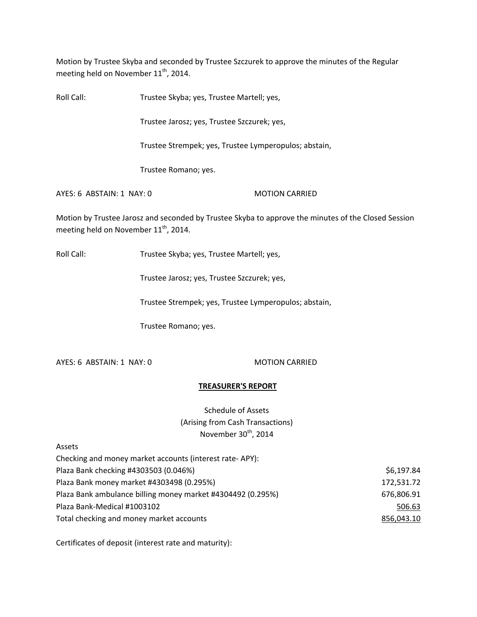Motion by Trustee Skyba and seconded by Trustee Szczurek to approve the minutes of the Regular meeting held on November 11<sup>th</sup>, 2014.

Roll Call: Trustee Skyba; yes, Trustee Martell; yes,

Trustee Jarosz; yes, Trustee Szczurek; yes,

Trustee Strempek; yes, Trustee Lymperopulos; abstain,

Trustee Romano; yes.

AYES: 6 ABSTAIN: 1 NAY: 0 MOTION CARRIED

Motion by Trustee Jarosz and seconded by Trustee Skyba to approve the minutes of the Closed Session meeting held on November  $11^{\text{th}}$ , 2014.

Roll Call: Trustee Skyba; yes, Trustee Martell; yes,

Trustee Jarosz; yes, Trustee Szczurek; yes,

Trustee Strempek; yes, Trustee Lymperopulos; abstain,

Trustee Romano; yes.

AYES: 6 ABSTAIN: 1 NAY: 0 MOTION CARRIED

# **TREASURER'S REPORT**

Schedule of Assets (Arising from Cash Transactions) November 30<sup>th</sup>, 2014

Assets

| Checking and money market accounts (interest rate-APY):     |            |
|-------------------------------------------------------------|------------|
| Plaza Bank checking #4303503 (0.046%)                       | \$6,197.84 |
| Plaza Bank money market #4303498 (0.295%)                   | 172,531.72 |
| Plaza Bank ambulance billing money market #4304492 (0.295%) | 676,806.91 |
| Plaza Bank-Medical #1003102                                 | 506.63     |
| Total checking and money market accounts                    | 856,043.10 |

Certificates of deposit (interest rate and maturity):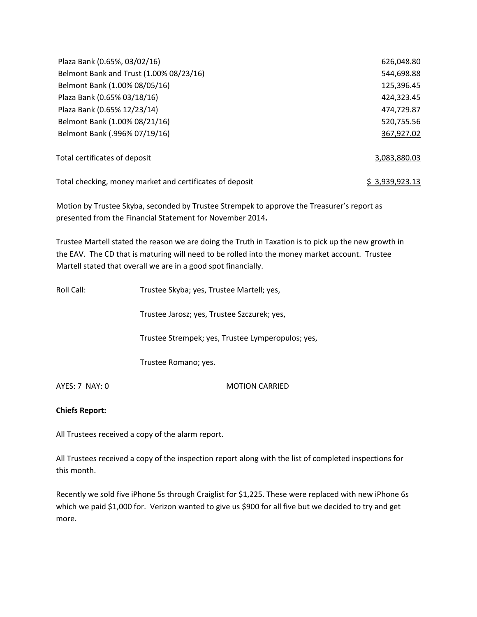| Plaza Bank (0.65%, 03/02/16)                             | 626,048.80     |
|----------------------------------------------------------|----------------|
| Belmont Bank and Trust (1.00% 08/23/16)                  | 544,698.88     |
| Belmont Bank (1.00% 08/05/16)                            | 125,396.45     |
| Plaza Bank (0.65% 03/18/16)                              | 424,323.45     |
| Plaza Bank (0.65% 12/23/14)                              | 474,729.87     |
| Belmont Bank (1.00% 08/21/16)                            | 520,755.56     |
| Belmont Bank (.996% 07/19/16)                            | 367,927.02     |
| Total certificates of deposit                            | 3,083,880.03   |
| Total checking, money market and certificates of deposit | \$3,939,923.13 |

Motion by Trustee Skyba, seconded by Trustee Strempek to approve the Treasurer's report as presented from the Financial Statement for November 2014**.**

Trustee Martell stated the reason we are doing the Truth in Taxation is to pick up the new growth in the EAV. The CD that is maturing will need to be rolled into the money market account. Trustee Martell stated that overall we are in a good spot financially.

| Roll Call:     | Trustee Skyba; yes, Trustee Martell; yes,         |
|----------------|---------------------------------------------------|
|                | Trustee Jarosz; yes, Trustee Szczurek; yes,       |
|                | Trustee Strempek; yes, Trustee Lymperopulos; yes, |
|                | Trustee Romano; yes.                              |
| AYES: 7 NAY: 0 | <b>MOTION CARRIED</b>                             |

# **Chiefs Report:**

All Trustees received a copy of the alarm report.

All Trustees received a copy of the inspection report along with the list of completed inspections for this month.

Recently we sold five iPhone 5s through Craiglist for \$1,225. These were replaced with new iPhone 6s which we paid \$1,000 for. Verizon wanted to give us \$900 for all five but we decided to try and get more.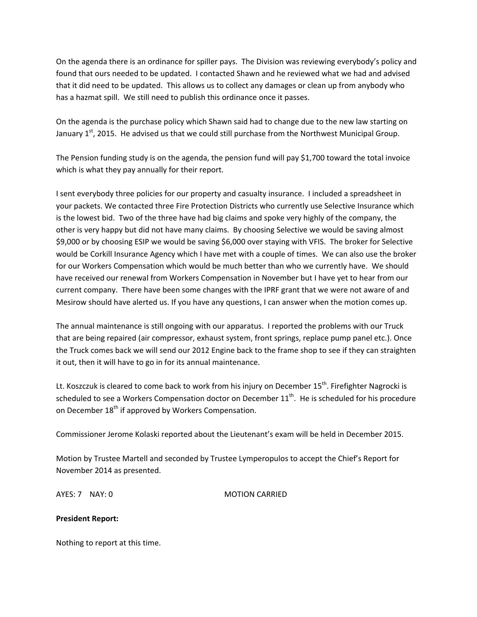On the agenda there is an ordinance for spiller pays. The Division was reviewing everybody's policy and found that ours needed to be updated. I contacted Shawn and he reviewed what we had and advised that it did need to be updated. This allows us to collect any damages or clean up from anybody who has a hazmat spill. We still need to publish this ordinance once it passes.

On the agenda is the purchase policy which Shawn said had to change due to the new law starting on January 1<sup>st</sup>, 2015. He advised us that we could still purchase from the Northwest Municipal Group.

The Pension funding study is on the agenda, the pension fund will pay \$1,700 toward the total invoice which is what they pay annually for their report.

I sent everybody three policies for our property and casualty insurance. I included a spreadsheet in your packets. We contacted three Fire Protection Districts who currently use Selective Insurance which is the lowest bid. Two of the three have had big claims and spoke very highly of the company, the other is very happy but did not have many claims. By choosing Selective we would be saving almost \$9,000 or by choosing ESIP we would be saving \$6,000 over staying with VFIS. The broker for Selective would be Corkill Insurance Agency which I have met with a couple of times. We can also use the broker for our Workers Compensation which would be much better than who we currently have. We should have received our renewal from Workers Compensation in November but I have yet to hear from our current company. There have been some changes with the IPRF grant that we were not aware of and Mesirow should have alerted us. If you have any questions, I can answer when the motion comes up.

The annual maintenance is still ongoing with our apparatus. I reported the problems with our Truck that are being repaired (air compressor, exhaust system, front springs, replace pump panel etc.). Once the Truck comes back we will send our 2012 Engine back to the frame shop to see if they can straighten it out, then it will have to go in for its annual maintenance.

Lt. Koszczuk is cleared to come back to work from his injury on December 15<sup>th</sup>. Firefighter Nagrocki is scheduled to see a Workers Compensation doctor on December 11<sup>th</sup>. He is scheduled for his procedure on December 18<sup>th</sup> if approved by Workers Compensation.

Commissioner Jerome Kolaski reported about the Lieutenant's exam will be held in December 2015.

Motion by Trustee Martell and seconded by Trustee Lymperopulos to accept the Chief's Report for November 2014 as presented.

AYES: 7 NAY: 0 MOTION CARRIED

# **President Report:**

Nothing to report at this time.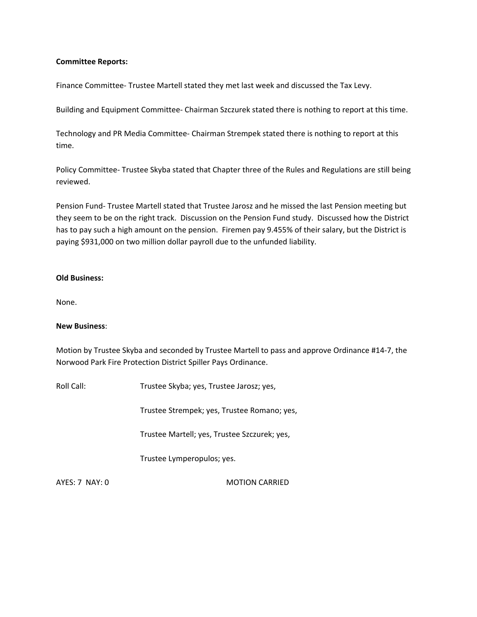#### **Committee Reports:**

Finance Committee‐ Trustee Martell stated they met last week and discussed the Tax Levy.

Building and Equipment Committee‐ Chairman Szczurek stated there is nothing to report at this time.

Technology and PR Media Committee‐ Chairman Strempek stated there is nothing to report at this time.

Policy Committee‐ Trustee Skyba stated that Chapter three of the Rules and Regulations are still being reviewed.

Pension Fund‐ Trustee Martell stated that Trustee Jarosz and he missed the last Pension meeting but they seem to be on the right track. Discussion on the Pension Fund study. Discussed how the District has to pay such a high amount on the pension. Firemen pay 9.455% of their salary, but the District is paying \$931,000 on two million dollar payroll due to the unfunded liability.

#### **Old Business:**

None.

#### **New Business**:

Motion by Trustee Skyba and seconded by Trustee Martell to pass and approve Ordinance #14‐7, the Norwood Park Fire Protection District Spiller Pays Ordinance.

Roll Call: Trustee Skyba; yes, Trustee Jarosz; yes,

Trustee Strempek; yes, Trustee Romano; yes,

Trustee Martell; yes, Trustee Szczurek; yes,

Trustee Lymperopulos; yes.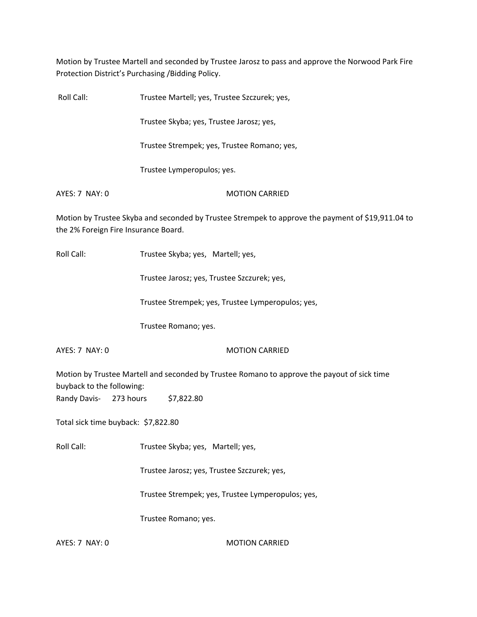Motion by Trustee Martell and seconded by Trustee Jarosz to pass and approve the Norwood Park Fire Protection District's Purchasing /Bidding Policy.

|                | Martino bootmooreer Clock a sold as a solar bootmooreer Characteristic sold |
|----------------|-----------------------------------------------------------------------------|
| AYES: 7 NAY: 0 | <b>MOTION CARRIED</b>                                                       |
|                | Trustee Lymperopulos; yes.                                                  |
|                | Trustee Strempek; yes, Trustee Romano; yes,                                 |
|                | Trustee Skyba; yes, Trustee Jarosz; yes,                                    |
| Roll Call:     | Trustee Martell; yes, Trustee Szczurek; yes,                                |

Motion by Trustee Skyba and seconded by Trustee Strempek to approve the payment of \$19,911.04 to the 2% Foreign Fire Insurance Board.

Roll Call: Trustee Skyba; yes, Martell; yes,

Trustee Jarosz; yes, Trustee Szczurek; yes,

Trustee Strempek; yes, Trustee Lymperopulos; yes,

Trustee Romano; yes.

#### AYES: 7 NAY: 0 MOTION CARRIED

Motion by Trustee Martell and seconded by Trustee Romano to approve the payout of sick time buyback to the following: Randy Davis- 273 hours \$7,822.80

Total sick time buyback: \$7,822.80

Roll Call: Trustee Skyba; yes, Martell; yes,

Trustee Jarosz; yes, Trustee Szczurek; yes,

Trustee Strempek; yes, Trustee Lymperopulos; yes,

Trustee Romano; yes.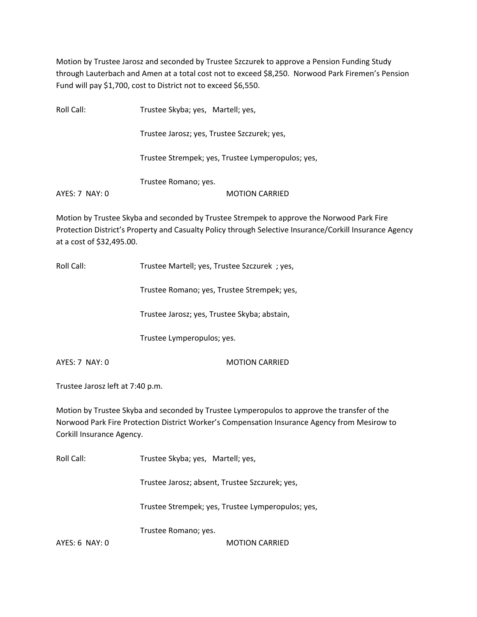Motion by Trustee Jarosz and seconded by Trustee Szczurek to approve a Pension Funding Study through Lauterbach and Amen at a total cost not to exceed \$8,250. Norwood Park Firemen's Pension Fund will pay \$1,700, cost to District not to exceed \$6,550.

| Roll Call:     | Trustee Skyba; yes, Martell; yes,                 |
|----------------|---------------------------------------------------|
|                | Trustee Jarosz; yes, Trustee Szczurek; yes,       |
|                | Trustee Strempek; yes, Trustee Lymperopulos; yes, |
|                | Trustee Romano; yes.                              |
| AYES: 7 NAY: 0 | <b>MOTION CARRIED</b>                             |

Motion by Trustee Skyba and seconded by Trustee Strempek to approve the Norwood Park Fire Protection District's Property and Casualty Policy through Selective Insurance/Corkill Insurance Agency at a cost of \$32,495.00.

Roll Call: Trustee Martell; yes, Trustee Szczurek ; yes,

Trustee Romano; yes, Trustee Strempek; yes,

Trustee Jarosz; yes, Trustee Skyba; abstain,

Trustee Lymperopulos; yes.

AYES: 7 NAY: 0 MOTION CARRIED

Trustee Jarosz left at 7:40 p.m.

Motion by Trustee Skyba and seconded by Trustee Lymperopulos to approve the transfer of the Norwood Park Fire Protection District Worker's Compensation Insurance Agency from Mesirow to Corkill Insurance Agency.

Roll Call: Trustee Skyba; yes, Martell; yes, Trustee Jarosz; absent, Trustee Szczurek; yes, Trustee Strempek; yes, Trustee Lymperopulos; yes, Trustee Romano; yes. AYES: 6 NAY: 0 MOTION CARRIED